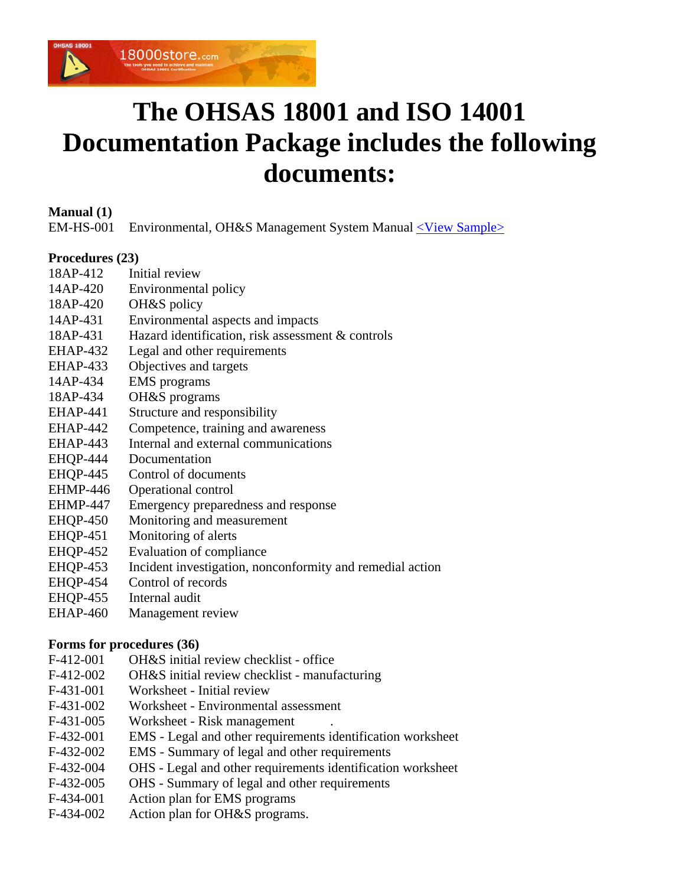

# **The OHSAS 18001 and ISO 14001 Documentation Package includes the following documents:**

**Manual (1)**

EM-HS-001 Environmental, OH&S Management System Manual [<View Sample>](http://www.18000store.com/downloads/1418-Manual.pdf)

# **Procedures (23)**

- 18AP-412 Initial review
- 14AP-420 Environmental policy
- 18AP-420 OH&S policy
- 14AP-431 Environmental aspects and impacts
- 18AP-431 Hazard identification, risk assessment & controls
- EHAP-432 Legal and other requirements
- EHAP-433 Objectives and targets
- 14AP-434 EMS programs
- 18AP-434 OH&S programs
- EHAP-441 Structure and responsibility
- EHAP-442 Competence, training and awareness
- EHAP-443 Internal and external communications
- EHQP-444 Documentation
- EHQP-445 Control of documents
- EHMP-446 Operational control
- EHMP-447 Emergency preparedness and response
- EHQP-450 Monitoring and measurement
- EHQP-451 Monitoring of alerts
- EHQP-452 Evaluation of compliance
- EHQP-453 Incident investigation, nonconformity and remedial action
- EHQP-454 Control of records
- EHOP-455 Internal audit
- EHAP-460 Management review

# **Forms for procedures (36)**

- F-412-001 OH&S initial review checklist office
- F-412-002 OH&S initial review checklist manufacturing
- F-431-001 Worksheet Initial review
- F-431-002 Worksheet Environmental assessment
- F-431-005 Worksheet Risk management
- F-432-001 EMS Legal and other requirements identification worksheet
- F-432-002 EMS Summary of legal and other requirements
- F-432-004 OHS Legal and other requirements identification worksheet
- F-432-005 OHS Summary of legal and other requirements
- F-434-001 Action plan for EMS programs
- F-434-002 Action plan for OH&S programs.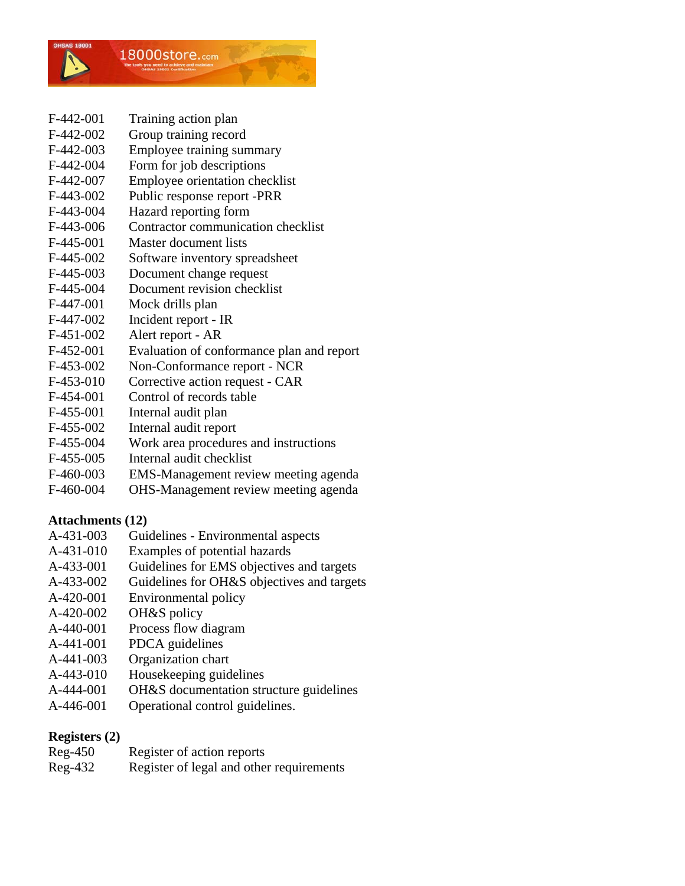

- F-442-001 Training action plan
- F-442-002 Group training record
- F-442-003 Employee training summary
- F-442-004 Form for job descriptions
- F-442-007 Employee orientation checklist
- F-443-002 Public response report -PRR
- F-443-004 Hazard reporting form
- F-443-006 Contractor communication checklist
- F-445-001 Master document lists
- F-445-002 Software inventory spreadsheet
- F-445-003 Document change request
- F-445-004 Document revision checklist
- F-447-001 Mock drills plan
- F-447-002 Incident report IR
- F-451-002 Alert report AR
- F-452-001 Evaluation of conformance plan and report
- F-453-002 Non-Conformance report NCR
- F-453-010 Corrective action request CAR
- F-454-001 Control of records table
- F-455-001 Internal audit plan
- F-455-002 Internal audit report
- F-455-004 Work area procedures and instructions
- F-455-005 Internal audit checklist
- F-460-003 EMS-Management review meeting agenda
- F-460-004 OHS-Management review meeting agenda

# **Attachments (12)**

- A-431-003 Guidelines Environmental aspects
- A-431-010 Examples of potential hazards
- A-433-001 Guidelines for EMS objectives and targets
- A-433-002 Guidelines for OH&S objectives and targets
- A-420-001 Environmental policy
- A-420-002 OH&S policy
- A-440-001 Process flow diagram
- A-441-001 PDCA guidelines
- A-441-003 Organization chart
- A-443-010 Housekeeping guidelines
- A-444-001 OH&S documentation structure guidelines
- A-446-001 Operational control guidelines.

# **Registers (2)**

| Reg-450 | Register of action reports               |
|---------|------------------------------------------|
| Reg-432 | Register of legal and other requirements |